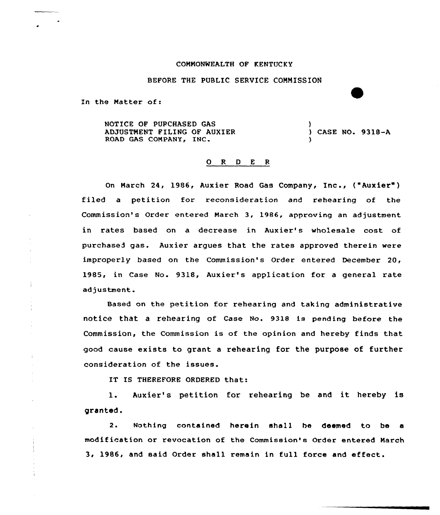## COMMONWEALTH OF KENTUCKY

BEFORE THE PUBLIC SERUICE COMMISSION

In the Matter of:

÷

 $\pm$ 

NOTICE OF PURCHASED GAS ADJUSTMENT FILING OF AUXIER
(2008) CASE NO. 9318-A<br>
ROAD GAS COMPANY, INC. ) ) CASE NO. 9318-A

## 0 <sup>R</sup> <sup>D</sup> <sup>E</sup> <sup>R</sup>

On March 24, 1986, Auxier Road Gas Company, Inc., ("Aux<mark>ier"</mark>) filed a petition for xeconsideration and rehearing of the Commission's Order entered March 3, 1986, approving an adjustment in rates based on a decrease in Auxier's wholesale cost of purchased gas. Auxier argues that the rates approved therein were improperly based on the Commission's Order entered December 20, 1985, in Case No. 9318, Auxier's application for a general rate adjustment.

Based on the petition for rehearing and taking administrative notice that a rehearing of Case No. 9318 is pending before the Commission, the Commission is of the opinion and hereby finds that good cause exists to grant a rehearing for the purpose of further consideration of the issues.

IT IS THEREFORE ORDERED that:

1. Auxier's petition for rehearing be and it hereby is granted.

2. Nothing contained herein shell be deemed to be <sup>a</sup> modification or revocation of the Commission's Order entered March 3, 1986, and said Order shall remain in full force and effect.